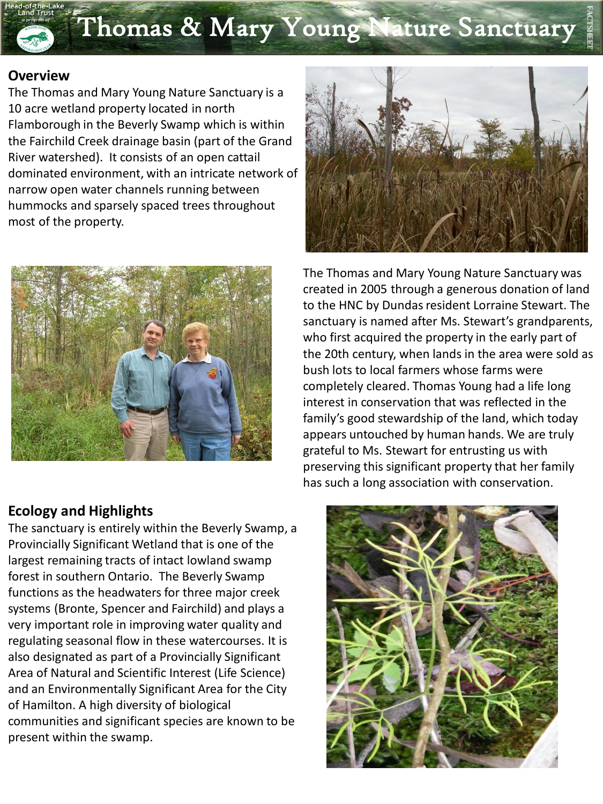## Thomas & Mary Young Nature Sanctuary

## **Overview**

The Thomas and Mary Young Nature Sanctuary is a 10 acre wetland property located in north Flamborough in the Beverly Swamp which is within the Fairchild Creek drainage basin (part of the Grand River watershed). It consists of an open cattail dominated environment, with an intricate network of narrow open water channels running between hummocks and sparsely spaced trees throughout most of the property.



## **Ecology and Highlights**

The sanctuary is entirely within the Beverly Swamp, a Provincially Significant Wetland that is one of the largest remaining tracts of intact lowland swamp forest in southern Ontario. The Beverly Swamp functions as the headwaters for three major creek systems (Bronte, Spencer and Fairchild) and plays a very important role in improving water quality and regulating seasonal flow in these watercourses. It is also designated as part of a Provincially Significant Area of Natural and Scientific Interest (Life Science) and an Environmentally Significant Area for the City of Hamilton. A high diversity of biological communities and significant species are known to be present within the swamp.



The Thomas and Mary Young Nature Sanctuary was created in 2005 through a generous donation of land to the HNC by Dundas resident Lorraine Stewart. The sanctuary is named after Ms. Stewart's grandparents, who first acquired the property in the early part of the 20th century, when lands in the area were sold as bush lots to local farmers whose farms were completely cleared. Thomas Young had a life long interest in conservation that was reflected in the family's good stewardship of the land, which today appears untouched by human hands. We are truly grateful to Ms. Stewart for entrusting us with preserving this significant property that her family has such a long association with conservation.